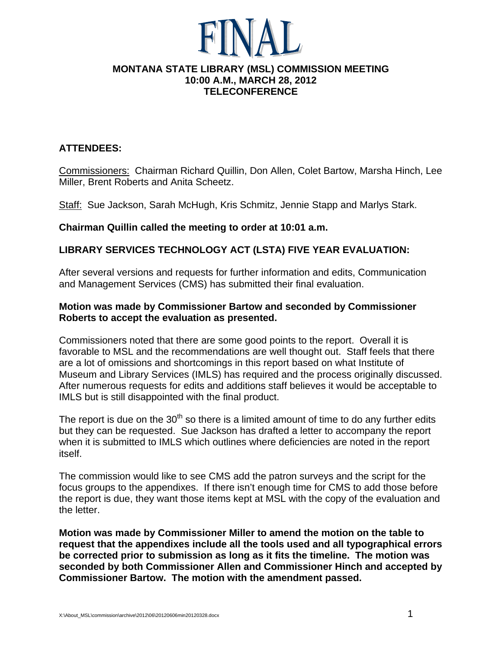#### **MONTANA STATE LIBRARY (MSL) COMMISSION MEETING 10:00 A.M., MARCH 28, 2012 TELECONFERENCE**

## **ATTENDEES:**

Commissioners: Chairman Richard Quillin, Don Allen, Colet Bartow, Marsha Hinch, Lee Miller, Brent Roberts and Anita Scheetz.

Staff: Sue Jackson, Sarah McHugh, Kris Schmitz, Jennie Stapp and Marlys Stark.

### **Chairman Quillin called the meeting to order at 10:01 a.m.**

## **LIBRARY SERVICES TECHNOLOGY ACT (LSTA) FIVE YEAR EVALUATION:**

After several versions and requests for further information and edits, Communication and Management Services (CMS) has submitted their final evaluation.

## **Motion was made by Commissioner Bartow and seconded by Commissioner Roberts to accept the evaluation as presented.**

Commissioners noted that there are some good points to the report. Overall it is favorable to MSL and the recommendations are well thought out. Staff feels that there are a lot of omissions and shortcomings in this report based on what Institute of Museum and Library Services (IMLS) has required and the process originally discussed. After numerous requests for edits and additions staff believes it would be acceptable to IMLS but is still disappointed with the final product.

The report is due on the  $30<sup>th</sup>$  so there is a limited amount of time to do any further edits but they can be requested. Sue Jackson has drafted a letter to accompany the report when it is submitted to IMLS which outlines where deficiencies are noted in the report itself.

The commission would like to see CMS add the patron surveys and the script for the focus groups to the appendixes. If there isn't enough time for CMS to add those before the report is due, they want those items kept at MSL with the copy of the evaluation and the letter.

**Motion was made by Commissioner Miller to amend the motion on the table to request that the appendixes include all the tools used and all typographical errors be corrected prior to submission as long as it fits the timeline. The motion was seconded by both Commissioner Allen and Commissioner Hinch and accepted by Commissioner Bartow. The motion with the amendment passed.**